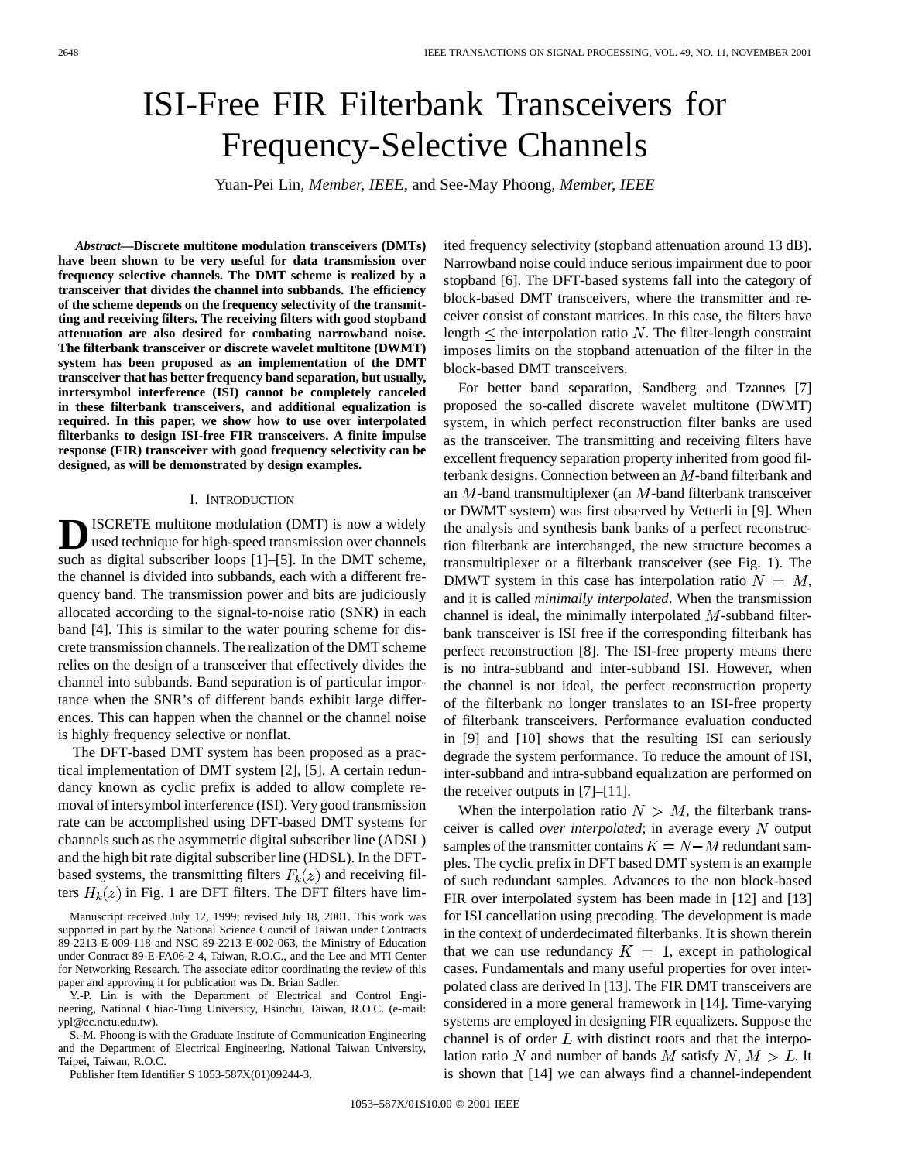# ISI-Free FIR Filterbank Transceivers for Frequency-Selective Channels

Yuan-Pei Lin*, Member, IEEE,* and See-May Phoong*, Member, IEEE*

*Abstract—***Discrete multitone modulation transceivers (DMTs) have been shown to be very useful for data transmission over frequency selective channels. The DMT scheme is realized by a transceiver that divides the channel into subbands. The efficiency of the scheme depends on the frequency selectivity of the transmitting and receiving filters. The receiving filters with good stopband attenuation are also desired for combating narrowband noise. The filterbank transceiver or discrete wavelet multitone (DWMT) system has been proposed as an implementation of the DMT transceiver that has better frequency band separation, but usually, inrtersymbol interference (ISI) cannot be completely canceled in these filterbank transceivers, and additional equalization is required. In this paper, we show how to use over interpolated filterbanks to design ISI-free FIR transceivers. A finite impulse response (FIR) transceiver with good frequency selectivity can be designed, as will be demonstrated by design examples.**

## I. INTRODUCTION

**D**ISCRETE multitone modulation (DMT) is now a widely used technique for high-speed transmission over channels such as digital subscriber loops [1]–[5]. In the DMT scheme, the channel is divided into subbands, each with a different frequency band. The transmission power and bits are judiciously allocated according to the signal-to-noise ratio (SNR) in each band [4]. This is similar to the water pouring scheme for discrete transmission channels. The realization of the DMT scheme relies on the design of a transceiver that effectively divides the channel into subbands. Band separation is of particular importance when the SNR's of different bands exhibit large differences. This can happen when the channel or the channel noise is highly frequency selective or nonflat.

The DFT-based DMT system has been proposed as a practical implementation of DMT system [2], [5]. A certain redundancy known as cyclic prefix is added to allow complete removal of intersymbol interference (ISI). Very good transmission rate can be accomplished using DFT-based DMT systems for channels such as the asymmetric digital subscriber line (ADSL) and the high bit rate digital subscriber line (HDSL). In the DFTbased systems, the transmitting filters  $F_k(z)$  and receiving filters  $H_k(z)$  in Fig. 1 are DFT filters. The DFT filters have lim-

Manuscript received July 12, 1999; revised July 18, 2001. This work was supported in part by the National Science Council of Taiwan under Contracts 89-2213-E-009-118 and NSC 89-2213-E-002-063, the Ministry of Education under Contract 89-E-FA06-2-4, Taiwan, R.O.C., and the Lee and MTI Center for Networking Research. The associate editor coordinating the review of this paper and approving it for publication was Dr. Brian Sadler.

Y.-P. Lin is with the Department of Electrical and Control Engineering, National Chiao-Tung University, Hsinchu, Taiwan, R.O.C. (e-mail: ypl@cc.nctu.edu.tw).

S.-M. Phoong is with the Graduate Institute of Communication Engineering and the Department of Electrical Engineering, National Taiwan University, Taipei, Taiwan, R.O.C.

Publisher Item Identifier S 1053-587X(01)09244-3.

ited frequency selectivity (stopband attenuation around 13 dB). Narrowband noise could induce serious impairment due to poor stopband [6]. The DFT-based systems fall into the category of block-based DMT transceivers, where the transmitter and receiver consist of constant matrices. In this case, the filters have length  $\leq$  the interpolation ratio N. The filter-length constraint imposes limits on the stopband attenuation of the filter in the block-based DMT transceivers.

For better band separation, Sandberg and Tzannes [7] proposed the so-called discrete wavelet multitone (DWMT) system, in which perfect reconstruction filter banks are used as the transceiver. The transmitting and receiving filters have excellent frequency separation property inherited from good filterbank designs. Connection between an  $M$ -band filterbank and an  $M$ -band transmultiplexer (an  $M$ -band filterbank transceiver or DWMT system) was first observed by Vetterli in [9]. When the analysis and synthesis bank banks of a perfect reconstruction filterbank are interchanged, the new structure becomes a transmultiplexer or a filterbank transceiver (see Fig. 1). The DMWT system in this case has interpolation ratio  $N = M$ , and it is called *minimally interpolated*. When the transmission channel is ideal, the minimally interpolated  $M$ -subband filterbank transceiver is ISI free if the corresponding filterbank has perfect reconstruction [8]. The ISI-free property means there is no intra-subband and inter-subband ISI. However, when the channel is not ideal, the perfect reconstruction property of the filterbank no longer translates to an ISI-free property of filterbank transceivers. Performance evaluation conducted in [9] and [10] shows that the resulting ISI can seriously degrade the system performance. To reduce the amount of ISI, inter-subband and intra-subband equalization are performed on the receiver outputs in [7]–[11].

When the interpolation ratio  $N > M$ , the filterbank transceiver is called *over interpolated*; in average every  $N$  output samples of the transmitter contains  $K = N - M$  redundant samples. The cyclic prefix in DFT based DMT system is an example of such redundant samples. Advances to the non block-based FIR over interpolated system has been made in [12] and [13] for ISI cancellation using precoding. The development is made in the context of underdecimated filterbanks. It is shown therein that we can use redundancy  $K = 1$ , except in pathological cases. Fundamentals and many useful properties for over interpolated class are derived In [13]. The FIR DMT transceivers are considered in a more general framework in [14]. Time-varying systems are employed in designing FIR equalizers. Suppose the channel is of order  $L$  with distinct roots and that the interpolation ratio N and number of bands M satisfy  $N, M > L$ . It is shown that [14] we can always find a channel-independent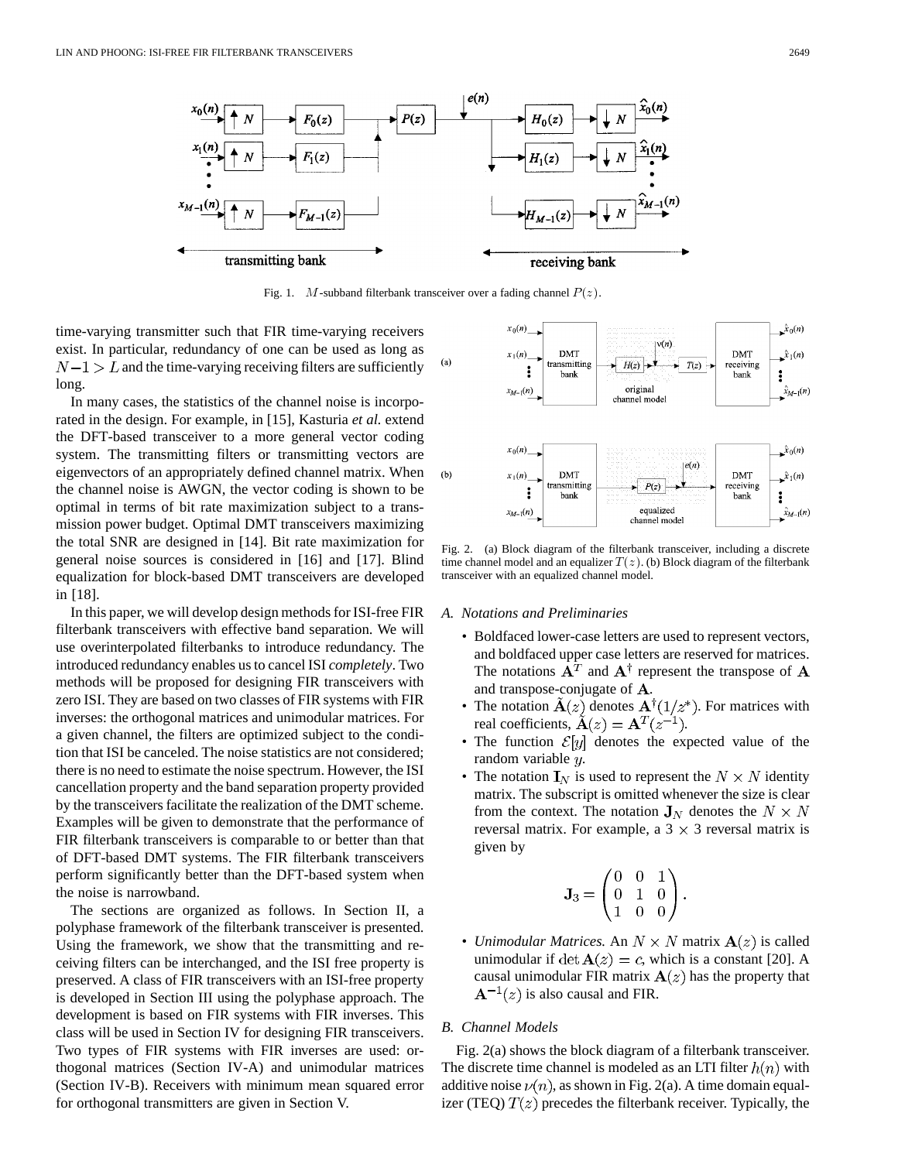

Fig. 1. M-subband filterbank transceiver over a fading channel  $P(z)$ .

 $(a)$ 

 $(b)$ 

time-varying transmitter such that FIR time-varying receivers exist. In particular, redundancy of one can be used as long as  $N-1 > L$  and the time-varying receiving filters are sufficiently long.

In many cases, the statistics of the channel noise is incorporated in the design. For example, in [15], Kasturia *et al.* extend the DFT-based transceiver to a more general vector coding system. The transmitting filters or transmitting vectors are eigenvectors of an appropriately defined channel matrix. When the channel noise is AWGN, the vector coding is shown to be optimal in terms of bit rate maximization subject to a transmission power budget. Optimal DMT transceivers maximizing the total SNR are designed in [14]. Bit rate maximization for general noise sources is considered in [16] and [17]. Blind equalization for block-based DMT transceivers are developed in [18].

In this paper, we will develop design methods for ISI-free FIR filterbank transceivers with effective band separation. We will use overinterpolated filterbanks to introduce redundancy. The introduced redundancy enables us to cancel ISI *completely*. Two methods will be proposed for designing FIR transceivers with zero ISI. They are based on two classes of FIR systems with FIR inverses: the orthogonal matrices and unimodular matrices. For a given channel, the filters are optimized subject to the condition that ISI be canceled. The noise statistics are not considered; there is no need to estimate the noise spectrum. However, the ISI cancellation property and the band separation property provided by the transceivers facilitate the realization of the DMT scheme. Examples will be given to demonstrate that the performance of FIR filterbank transceivers is comparable to or better than that of DFT-based DMT systems. The FIR filterbank transceivers perform significantly better than the DFT-based system when the noise is narrowband.

The sections are organized as follows. In Section II, a polyphase framework of the filterbank transceiver is presented. Using the framework, we show that the transmitting and receiving filters can be interchanged, and the ISI free property is preserved. A class of FIR transceivers with an ISI-free property is developed in Section III using the polyphase approach. The development is based on FIR systems with FIR inverses. This class will be used in Section IV for designing FIR transceivers. Two types of FIR systems with FIR inverses are used: orthogonal matrices (Section IV-A) and unimodular matrices (Section IV-B). Receivers with minimum mean squared error for orthogonal transmitters are given in Section V.



Fig. 2. (a) Block diagram of the filterbank transceiver, including a discrete time channel model and an equalizer  $T(z)$ . (b) Block diagram of the filterbank transceiver with an equalized channel model.

*A. Notations and Preliminaries*

- Boldfaced lower-case letters are used to represent vectors, and boldfaced upper case letters are reserved for matrices. The notations  $A^T$  and  $A^{\dagger}$  represent the transpose of A and transpose-conjugate of  $A$ .
- The notation  $\tilde{A}(z)$  denotes  $A^{\dagger}(1/z^*)$ . For matrices with real coefficients,  $\tilde{A}(z) = A^T(z^{-1}).$
- The function  $\mathcal{E}[y]$  denotes the expected value of the random variable  $y$ .
- The notation  $\mathbf{I}_N$  is used to represent the  $N \times N$  identity matrix. The subscript is omitted whenever the size is clear from the context. The notation  $J_N$  denotes the  $N \times N$ reversal matrix. For example, a  $3 \times 3$  reversal matrix is given by

$$
\mathbf{J}_3 = \begin{pmatrix} 0 & 0 & 1 \\ 0 & 1 & 0 \\ 1 & 0 & 0 \end{pmatrix}
$$

• *Unimodular Matrices.* An  $N \times N$  matrix  $\mathbf{A}(z)$  is called unimodular if  $\det A(z) = c$ , which is a constant [20]. A causal unimodular FIR matrix  $A(z)$  has the property that  $A^{-1}(z)$  is also causal and FIR.

## *B. Channel Models*

Fig. 2(a) shows the block diagram of a filterbank transceiver. The discrete time channel is modeled as an LTI filter  $h(n)$  with additive noise  $\nu(n)$ , as shown in Fig. 2(a). A time domain equalizer (TEQ)  $T(z)$  precedes the filterbank receiver. Typically, the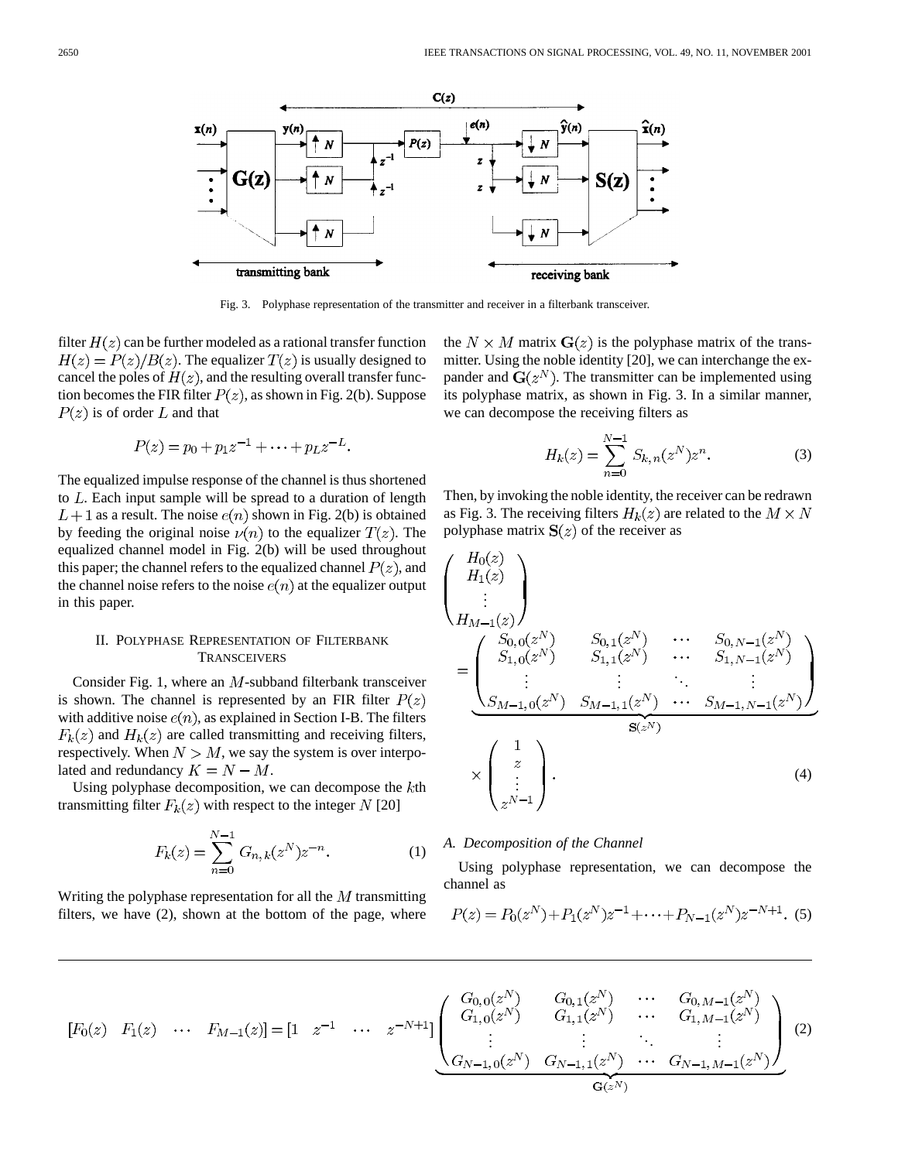

Fig. 3. Polyphase representation of the transmitter and receiver in a filterbank transceiver.

filter  $H(z)$  can be further modeled as a rational transfer function  $H(z) = P(z)/B(z)$ . The equalizer  $T(z)$  is usually designed to cancel the poles of  $H(z)$ , and the resulting overall transfer function becomes the FIR filter  $P(z)$ , as shown in Fig. 2(b). Suppose  $P(z)$  is of order L and that

$$
P(z) = p_0 + p_1 z^{-1} + \dots + p_L z^{-L}.
$$

The equalized impulse response of the channel is thus shortened to  $L$ . Each input sample will be spread to a duration of length  $L+1$  as a result. The noise  $e(n)$  shown in Fig. 2(b) is obtained by feeding the original noise  $\nu(n)$  to the equalizer  $T(z)$ . The equalized channel model in Fig. 2(b) will be used throughout this paper; the channel refers to the equalized channel  $P(z)$ , and the channel noise refers to the noise  $e(n)$  at the equalizer output in this paper.

# II. POLYPHASE REPRESENTATION OF FILTERBANK **TRANSCEIVERS**

Consider Fig. 1, where an  $M$ -subband filterbank transceiver is shown. The channel is represented by an FIR filter  $P(z)$ with additive noise  $e(n)$ , as explained in Section I-B. The filters  $F_k(z)$  and  $H_k(z)$  are called transmitting and receiving filters, respectively. When  $N > M$ , we say the system is over interpolated and redundancy  $K = N - M$ .

Using polyphase decomposition, we can decompose the  $k$ th transmitting filter  $F_k(z)$  with respect to the integer N [20]

$$
F_k(z) = \sum_{n=0}^{N-1} G_{n,k}(z^N) z^{-n}.
$$
 (1)

Writing the polyphase representation for all the  $M$  transmitting filters, we have (2), shown at the bottom of the page, where the  $N \times M$  matrix  $\mathbf{G}(z)$  is the polyphase matrix of the transmitter. Using the noble identity [20], we can interchange the expander and  $G(z^N)$ . The transmitter can be implemented using its polyphase matrix, as shown in Fig. 3. In a similar manner, we can decompose the receiving filters as

$$
H_k(z) = \sum_{n=0}^{N-1} S_{k,n}(z^N) z^n.
$$
 (3)

Then, by invoking the noble identity, the receiver can be redrawn as Fig. 3. The receiving filters  $H_k(z)$  are related to the  $M \times N$ polyphase matrix  $S(z)$  of the receiver as

$$
H_{1}(z)
$$
\n
$$
H_{1}(z)
$$
\n
$$
= \begin{pmatrix}\nS_{0,0}(z^{N}) & S_{0,1}(z^{N}) & \cdots & S_{0,N-1}(z^{N}) \\
S_{1,0}(z^{N}) & S_{1,1}(z^{N}) & \cdots & S_{1,N-1}(z^{N}) \\
\vdots & \vdots & \ddots & \vdots \\
S_{M-1,0}(z^{N}) & S_{M-1,1}(z^{N}) & \cdots & S_{M-1,N-1}(z^{N})\n\end{pmatrix}
$$
\n
$$
\times \begin{pmatrix}\n1 \\
z \\
\vdots \\
z^{N-1}\n\end{pmatrix}.
$$
\n(4)

## *A. Decomposition of the Channel*

Using polyphase representation, we can decompose the channel as

$$
P(z) = P_0(z^N) + P_1(z^N)z^{-1} + \dots + P_{N-1}(z^N)z^{-N+1}.
$$
 (5)

$$
[F_0(z) \quad F_1(z) \quad \cdots \quad F_{M-1}(z)] = \begin{bmatrix} 1 & z^{-1} & \cdots & z^{-N+1} \end{bmatrix} \underbrace{\begin{bmatrix} G_{0,0}(z^N) & G_{0,1}(z^N) & \cdots & G_{0,M-1}(z^N) \\ G_{1,0}(z^N) & G_{1,1}(z^N) & \cdots & G_{1,M-1}(z^N) \\ \vdots & \vdots & \ddots & \vdots \\ G_{N-1,0}(z^N) & G_{N-1,1}(z^N) & \cdots & G_{N-1,M-1}(z^N) \end{bmatrix}}_{\mathbf{G}(z^N)} \tag{2}
$$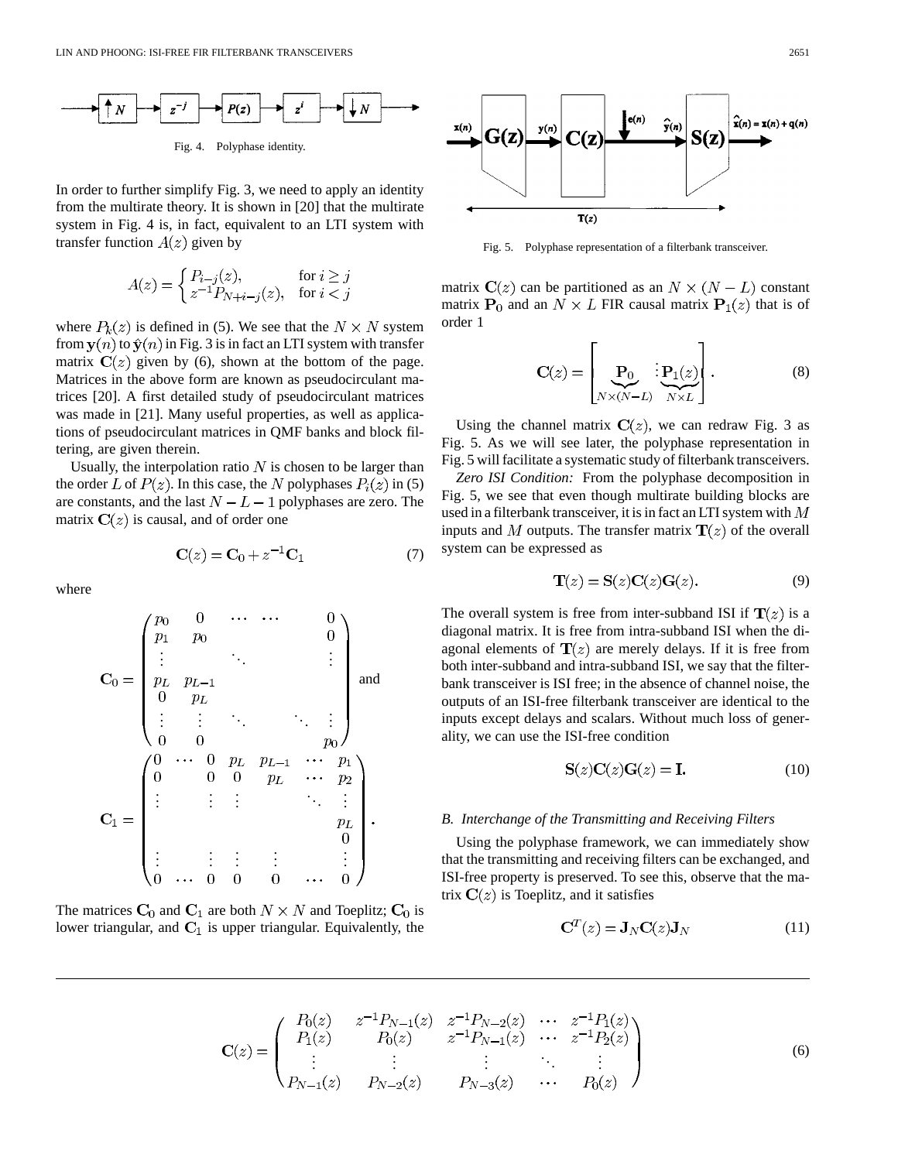

Fig. 4. Polyphase identity.

In order to further simplify Fig. 3, we need to apply an identity from the multirate theory. It is shown in [20] that the multirate system in Fig. 4 is, in fact, equivalent to an LTI system with transfer function  $A(z)$  given by

$$
A(z) = \begin{cases} P_{i-j}(z), & \text{for } i \ge j \\ z^{-1}P_{N+i-j}(z), & \text{for } i < j \end{cases}
$$

where  $P_k(z)$  is defined in (5). We see that the  $N \times N$  system from  $y(n)$  to  $\hat{y}(n)$  in Fig. 3 is in fact an LTI system with transfer matrix  $C(z)$  given by (6), shown at the bottom of the page. Matrices in the above form are known as pseudocirculant matrices [20]. A first detailed study of pseudocirculant matrices was made in [21]. Many useful properties, as well as applications of pseudocirculant matrices in QMF banks and block filtering, are given therein.

Usually, the interpolation ratio  $N$  is chosen to be larger than the order L of  $P(z)$ . In this case, the N polyphases  $P_i(z)$  in (5) are constants, and the last  $N - L - 1$  polyphases are zero. The matrix  $C(z)$  is causal, and of order one

$$
\mathbf{C}(z) = \mathbf{C}_0 + z^{-1}\mathbf{C}_1 \tag{7}
$$

where

$$
\mathbf{C}_0 = \begin{pmatrix} p_0 & 0 & \cdots & \cdots & 0 \\ p_1 & p_0 & & & 0 \\ \vdots & & \ddots & & \vdots \\ p_L & p_{L-1} & & & \\ 0 & p_L & & & \\ \vdots & \vdots & \ddots & & \ddots & \vdots \\ 0 & 0 & & p_L & p_{L-1} & \cdots & p_1 \\ 0 & & 0 & p_L & p_{L-1} & \cdots & p_1 \\ \vdots & \vdots & \vdots & & \ddots & \vdots \\ 0 & & 0 & 0 & p_L & \cdots & p_2 \\ \vdots & & \vdots & \vdots & & \ddots & \vdots \\ 0 & \cdots & 0 & 0 & 0 & \cdots & 0 \end{pmatrix}.
$$

The matrices  $C_0$  and  $C_1$  are both  $N \times N$  and Toeplitz;  $C_0$  is lower triangular, and  $C_1$  is upper triangular. Equivalently, the



Fig. 5. Polyphase representation of a filterbank transceiver.

matrix  $C(z)$  can be partitioned as an  $N \times (N - L)$  constant matrix  $P_0$  and an  $N \times L$  FIR causal matrix  $P_1(z)$  that is of order 1

$$
\mathbf{C}(z) = \begin{bmatrix} \mathbf{P}_0 & \vdots \\ \mathbf{P}_0 & \mathbf{N}_1(z) \\ N \times (N - L) & N \times L \end{bmatrix} . \tag{8}
$$

Using the channel matrix  $C(z)$ , we can redraw Fig. 3 as Fig. 5. As we will see later, the polyphase representation in Fig. 5 will facilitate a systematic study of filterbank transceivers.

*Zero ISI Condition:* From the polyphase decomposition in Fig. 5, we see that even though multirate building blocks are used in a filterbank transceiver, it is in fact an LTI system with  $M$ inputs and M outputs. The transfer matrix  $\mathbf{T}(z)$  of the overall system can be expressed as

$$
\mathbf{T}(z) = \mathbf{S}(z)\mathbf{C}(z)\mathbf{G}(z). \tag{9}
$$

The overall system is free from inter-subband ISI if  $\mathbf{T}(z)$  is a diagonal matrix. It is free from intra-subband ISI when the diagonal elements of  $\mathbf{T}(z)$  are merely delays. If it is free from both inter-subband and intra-subband ISI, we say that the filterbank transceiver is ISI free; in the absence of channel noise, the outputs of an ISI-free filterbank transceiver are identical to the inputs except delays and scalars. Without much loss of generality, we can use the ISI-free condition

$$
\mathbf{S}(z)\mathbf{C}(z)\mathbf{G}(z) = \mathbf{I}.\tag{10}
$$

## *B. Interchange of the Transmitting and Receiving Filters*

Using the polyphase framework, we can immediately show that the transmitting and receiving filters can be exchanged, and ISI-free property is preserved. To see this, observe that the matrix  $C(z)$  is Toeplitz, and it satisfies

$$
\mathbf{C}^T(z) = \mathbf{J}_N \mathbf{C}(z) \mathbf{J}_N \tag{11}
$$

$$
\mathbf{C}(z) = \begin{pmatrix} P_0(z) & z^{-1}P_{N-1}(z) & z^{-1}P_{N-2}(z) & \cdots & z^{-1}P_1(z) \\ P_1(z) & P_0(z) & z^{-1}P_{N-1}(z) & \cdots & z^{-1}P_2(z) \\ \vdots & \vdots & \vdots & \ddots & \vdots \\ P_{N-1}(z) & P_{N-2}(z) & P_{N-3}(z) & \cdots & P_0(z) \end{pmatrix}
$$
(6)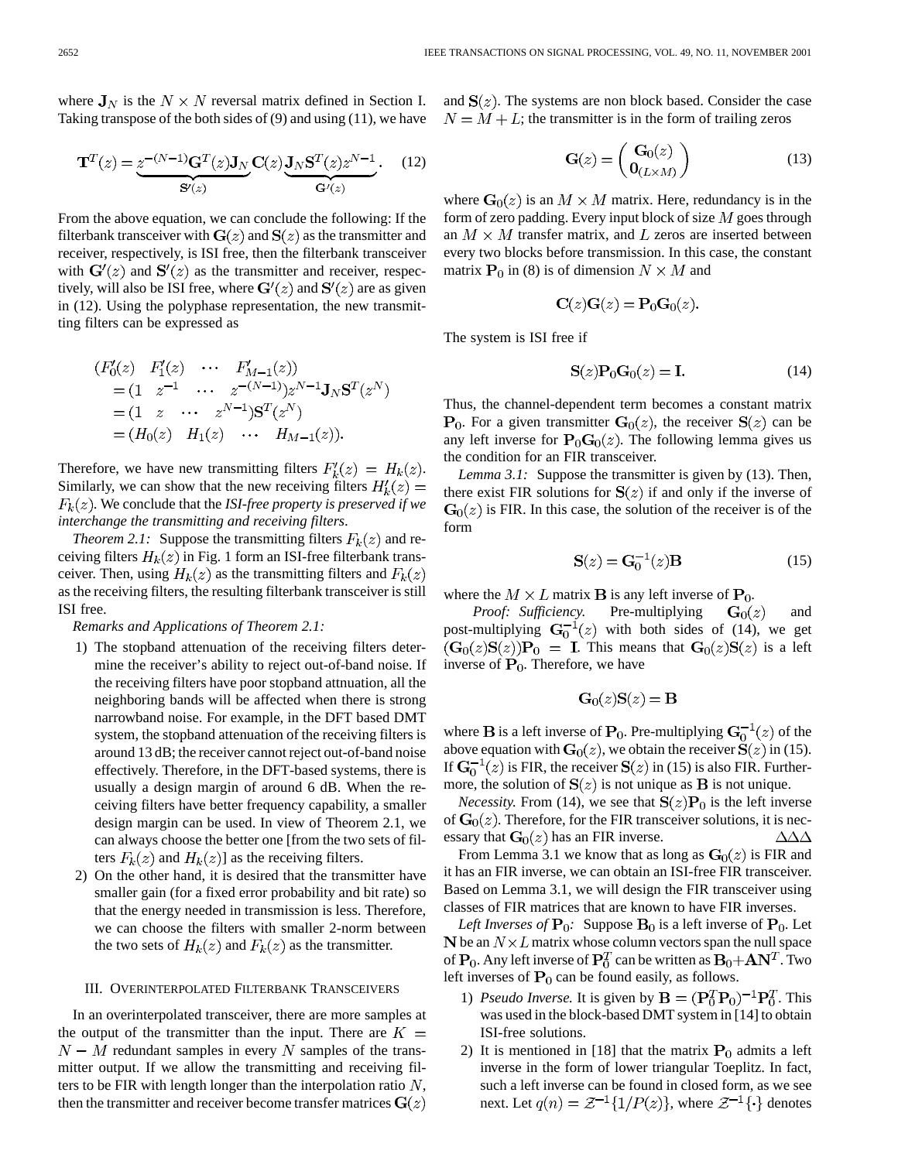where  $J_N$  is the  $N \times N$  reversal matrix defined in Section I. Taking transpose of the both sides of (9) and using (11), we have

$$
\mathbf{T}^{T}(z) = \underbrace{z^{-(N-1)}\mathbf{G}^{T}(z)\mathbf{J}_{N}}_{\mathbf{S}'(z)}\mathbf{C}(z)\underbrace{\mathbf{J}_{N}\mathbf{S}^{T}(z)z^{N-1}}_{\mathbf{G}'(z)}.
$$
 (12)

From the above equation, we can conclude the following: If the filterbank transceiver with  $G(z)$  and  $S(z)$  as the transmitter and receiver, respectively, is ISI free, then the filterbank transceiver with  $\mathbf{G}'(z)$  and  $\mathbf{S}'(z)$  as the transmitter and receiver, respectively, will also be ISI free, where  $\mathbf{G}'(z)$  and  $\mathbf{S}'(z)$  are as given in (12). Using the polyphase representation, the new transmitting filters can be expressed as

$$
(F'_0(z) \t F'_1(z) \t \cdots \t F'_{M-1}(z))
$$
  
= (1 z<sup>-1</sup> \cdots z<sup>-(N-1)</sup>)z<sup>N-1</sup>J<sub>N</sub>S<sup>T</sup>(z<sup>N</sup>)  
= (1 z \cdots z<sup>N-1</sup>)S<sup>T</sup>(z<sup>N</sup>)  
= (H<sub>0</sub>(z) H<sub>1</sub>(z) \cdots H<sub>M-1</sub>(z)).

Therefore, we have new transmitting filters  $F'_k(z) = H_k(z)$ . Similarly, we can show that the new receiving filters  $H'_{k}(z) =$  $F_k(z)$ . We conclude that the *ISI-free property is preserved if we interchange the transmitting and receiving filters*.

*Theorem 2.1:* Suppose the transmitting filters  $F_k(z)$  and receiving filters  $H_k(z)$  in Fig. 1 form an ISI-free filterbank transceiver. Then, using  $H_k(z)$  as the transmitting filters and  $F_k(z)$ as the receiving filters, the resulting filterbank transceiver is still ISI free.

*Remarks and Applications of Theorem 2.1:*

- 1) The stopband attenuation of the receiving filters determine the receiver's ability to reject out-of-band noise. If the receiving filters have poor stopband attnuation, all the neighboring bands will be affected when there is strong narrowband noise. For example, in the DFT based DMT system, the stopband attenuation of the receiving filters is around 13 dB; the receiver cannot reject out-of-band noise effectively. Therefore, in the DFT-based systems, there is usually a design margin of around 6 dB. When the receiving filters have better frequency capability, a smaller design margin can be used. In view of Theorem 2.1, we can always choose the better one [from the two sets of filters  $F_k(z)$  and  $H_k(z)$ ] as the receiving filters.
- 2) On the other hand, it is desired that the transmitter have smaller gain (for a fixed error probability and bit rate) so that the energy needed in transmission is less. Therefore, we can choose the filters with smaller 2-norm between the two sets of  $H_k(z)$  and  $F_k(z)$  as the transmitter.

## III. OVERINTERPOLATED FILTERBANK TRANSCEIVERS

In an overinterpolated transceiver, there are more samples at the output of the transmitter than the input. There are  $K =$  $N-M$  redundant samples in every N samples of the transmitter output. If we allow the transmitting and receiving filters to be FIR with length longer than the interpolation ratio  $N$ , then the transmitter and receiver become transfer matrices  $G(z)$  and  $S(z)$ . The systems are non block based. Consider the case  $N = M + L$ ; the transmitter is in the form of trailing zeros

$$
\mathbf{G}(z) = \begin{pmatrix} \mathbf{G}_0(z) \\ \mathbf{0}_{(L \times M)} \end{pmatrix}
$$
 (13)

where  $\mathbf{G}_0(z)$  is an  $M \times M$  matrix. Here, redundancy is in the form of zero padding. Every input block of size  $M$  goes through an  $M \times M$  transfer matrix, and L zeros are inserted between every two blocks before transmission. In this case, the constant matrix  $P_0$  in (8) is of dimension  $N \times M$  and

$$
\mathbf{C}(z)\mathbf{G}(z) = \mathbf{P}_0\mathbf{G}_0(z).
$$

The system is ISI free if

$$
\mathbf{S}(z)\mathbf{P}_0\mathbf{G}_0(z) = \mathbf{I}.\tag{14}
$$

Thus, the channel-dependent term becomes a constant matrix  $P_0$ . For a given transmitter  $G_0(z)$ , the receiver  $S(z)$  can be any left inverse for  $P_0G_0(z)$ . The following lemma gives us the condition for an FIR transceiver.

*Lemma 3.1:* Suppose the transmitter is given by (13). Then, there exist FIR solutions for  $S(z)$  if and only if the inverse of  $\mathbf{G}_0(z)$  is FIR. In this case, the solution of the receiver is of the form

$$
\mathbf{S}(z) = \mathbf{G}_0^{-1}(z)\mathbf{B} \tag{15}
$$

where the  $M \times L$  matrix **B** is any left inverse of  $P_0$ .

*Proof: Sufficiency.* Pre-multiplying  $\mathbf{G}_0(z)$  and post-multiplying  $\mathbf{G}_0^{-1}(z)$  with both sides of (14), we get  $(\mathbf{G}_0(z)\mathbf{S}(z))\mathbf{P}_0 = \mathbf{I}$ . This means that  $\mathbf{G}_0(z)\mathbf{S}(z)$  is a left inverse of  $P_0$ . Therefore, we have

$$
\mathbf{G}_0(z)\mathbf{S}(z)=\mathbf{B}
$$

where **B** is a left inverse of  $P_0$ . Pre-multiplying  $G_0^{-1}(z)$  of the above equation with  $\mathbf{G}_0(z)$ , we obtain the receiver  $\mathbf{S}(z)$  in (15). If  $\mathbf{G}_0^{-1}(z)$  is FIR, the receiver  $\mathbf{S}(z)$  in (15) is also FIR. Furthermore, the solution of  $S(z)$  is not unique as **B** is not unique.

*Necessity.* From (14), we see that  $S(z)P_0$  is the left inverse of  $G_0(z)$ . Therefore, for the FIR transceiver solutions, it is necessary that  $\mathbf{G}_0(z)$  has an FIR inverse.  $\Delta\Delta\Delta$ 

From Lemma 3.1 we know that as long as  $\mathbf{G}_0(z)$  is FIR and it has an FIR inverse, we can obtain an ISI-free FIR transceiver. Based on Lemma 3.1, we will design the FIR transceiver using classes of FIR matrices that are known to have FIR inverses.

*Left Inverses of*  $P_0$ : Suppose  $B_0$  is a left inverse of  $P_0$ . Let  $\mathbf N$  be an  $N \times L$  matrix whose column vectors span the null space of  $P_0$ . Any left inverse of  $P_0^T$  can be written as  $B_0 + AN^T$ . Two left inverses of  $P_0$  can be found easily, as follows.

- 1) *Pseudo Inverse.* It is given by  $\mathbf{B} = (\mathbf{P}_0^T \mathbf{P}_0)^{-1} \mathbf{P}_0^T$ . This was used in the block-based DMT system in [14] to obtain ISI-free solutions.
- 2) It is mentioned in [18] that the matrix  $P_0$  admits a left inverse in the form of lower triangular Toeplitz. In fact, such a left inverse can be found in closed form, as we see next. Let  $q(n) = \mathcal{Z}^{-1}{1/P(z)}$ , where  $\mathcal{Z}^{-1}{\{\cdot\}}$  denotes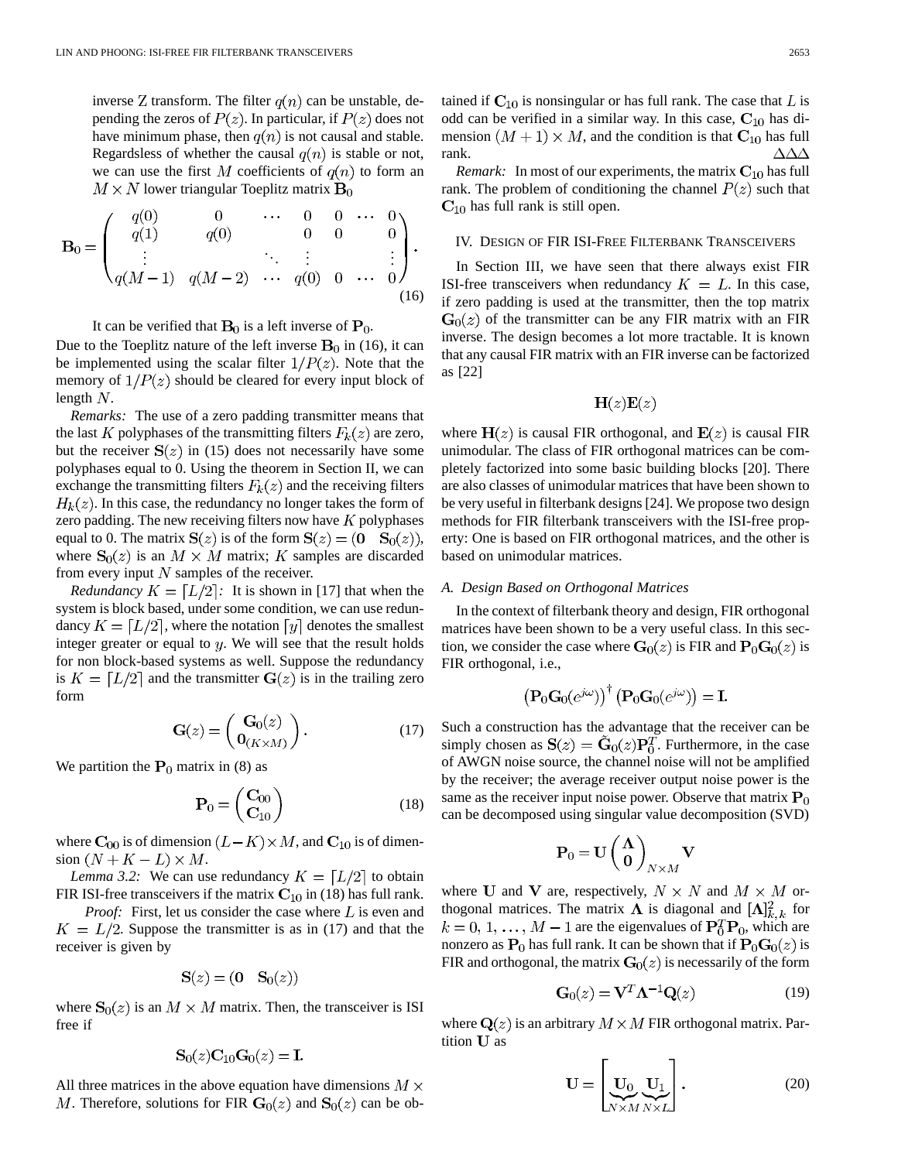inverse Z transform. The filter  $q(n)$  can be unstable, depending the zeros of  $P(z)$ . In particular, if  $P(z)$  does not have minimum phase, then  $q(n)$  is not causal and stable. Regardsless of whether the causal  $q(n)$  is stable or not, we can use the first M coefficients of  $q(n)$  to form an  $M \times N$  lower triangular Toeplitz matrix  $\mathbf{B}_0$ 

$$
\mathbf{B}_0 = \begin{pmatrix} q(0) & 0 & \cdots & 0 & 0 & \cdots & 0 \\ q(1) & q(0) & & 0 & 0 & & 0 \\ \vdots & & \ddots & \vdots & & \vdots \\ q(M-1) & q(M-2) & \cdots & q(0) & 0 & \cdots & 0 \end{pmatrix} .
$$
 (16)

It can be verified that  $B_0$  is a left inverse of  $P_0$ .

Due to the Toeplitz nature of the left inverse  $B_0$  in (16), it can be implemented using the scalar filter  $1/P(z)$ . Note that the memory of  $1/P(z)$  should be cleared for every input block of length  $N$ .

*Remarks:* The use of a zero padding transmitter means that the last K polyphases of the transmitting filters  $F_k(z)$  are zero, but the receiver  $S(z)$  in (15) does not necessarily have some polyphases equal to 0. Using the theorem in Section II, we can exchange the transmitting filters  $F_k(z)$  and the receiving filters  $H_k(z)$ . In this case, the redundancy no longer takes the form of zero padding. The new receiving filters now have  $K$  polyphases equal to 0. The matrix  $S(z)$  is of the form  $S(z) = (0 \quad S_0(z)),$ where  $S_0(z)$  is an  $M \times M$  matrix; K samples are discarded from every input  $N$  samples of the receiver.

*Redundancy*  $K = \lfloor L/2 \rfloor$ : It is shown in [17] that when the system is block based, under some condition, we can use redundancy  $K = [L/2]$ , where the notation  $[y]$  denotes the smallest integer greater or equal to  $y$ . We will see that the result holds for non block-based systems as well. Suppose the redundancy is  $K = \lfloor L/2 \rfloor$  and the transmitter  $\mathbf{G}(z)$  is in the trailing zero form

$$
\mathbf{G}(z) = \begin{pmatrix} \mathbf{G}_0(z) \\ \mathbf{0}_{(K \times M)} \end{pmatrix}.
$$
 (17)

We partition the  $P_0$  matrix in (8) as

$$
\mathbf{P}_0 = \begin{pmatrix} \mathbf{C}_{00} \\ \mathbf{C}_{10} \end{pmatrix} \tag{18}
$$

where  $\mathbf{C}_{00}$  is of dimension  $(L-K) \times M$ , and  $\mathbf{C}_{10}$  is of dimension  $(N + K - L) \times M$ .

*Lemma 3.2:* We can use redundancy  $K = \lfloor L/2 \rfloor$  to obtain FIR ISI-free transceivers if the matrix  $C_{10}$  in (18) has full rank.

*Proof:* First, let us consider the case where  $L$  is even and  $K = L/2$ . Suppose the transmitter is as in (17) and that the receiver is given by

$$
\mathbf{S}(z) = (\mathbf{0} \quad \mathbf{S}_0(z))
$$

where  $S_0(z)$  is an  $M \times M$  matrix. Then, the transceiver is ISI free if

$$
\mathbf{S}_0(z)\mathbf{C}_{10}\mathbf{G}_0(z)=\mathbf{I}.
$$

All three matrices in the above equation have dimensions  $M \times$ M. Therefore, solutions for FIR  $G_0(z)$  and  $S_0(z)$  can be obtained if  $C_{10}$  is nonsingular or has full rank. The case that  $L$  is odd can be verified in a similar way. In this case,  $C_{10}$  has dimension  $(M + 1) \times M$ , and the condition is that  $C_{10}$  has full rank.

*Remark:* In most of our experiments, the matrix  $C_{10}$  has full rank. The problem of conditioning the channel  $P(z)$  such that  $\mathbf{C}_{10}$  has full rank is still open.

# IV. DESIGN OF FIR ISI-FREE FILTERBANK TRANSCEIVERS

In Section III, we have seen that there always exist FIR ISI-free transceivers when redundancy  $K = L$ . In this case, if zero padding is used at the transmitter, then the top matrix  $G_0(z)$  of the transmitter can be any FIR matrix with an FIR inverse. The design becomes a lot more tractable. It is known that any causal FIR matrix with an FIR inverse can be factorized as [22]

# $H(z)E(z)$

where  $H(z)$  is causal FIR orthogonal, and  $E(z)$  is causal FIR unimodular. The class of FIR orthogonal matrices can be completely factorized into some basic building blocks [20]. There are also classes of unimodular matrices that have been shown to be very useful in filterbank designs [24]. We propose two design methods for FIR filterbank transceivers with the ISI-free property: One is based on FIR orthogonal matrices, and the other is based on unimodular matrices.

# *A. Design Based on Orthogonal Matrices*

In the context of filterbank theory and design, FIR orthogonal matrices have been shown to be a very useful class. In this section, we consider the case where  $\mathbf{G}_0(z)$  is FIR and  $\mathbf{P}_0\mathbf{G}_0(z)$  is FIR orthogonal, i.e.,

$$
\left(\mathbf{P}_{0}\mathbf{G}_{0}(e^{j\omega})\right)^{\dagger}\left(\mathbf{P}_{0}\mathbf{G}_{0}(e^{j\omega})\right)=\mathbf{I}.
$$

Such a construction has the advantage that the receiver can be simply chosen as  $S(z) = \tilde{G}_0(z)P_0^T$ . Furthermore, in the case of AWGN noise source, the channel noise will not be amplified by the receiver; the average receiver output noise power is the same as the receiver input noise power. Observe that matrix  $P_0$ can be decomposed using singular value decomposition (SVD)

$$
\mathbf{P}_0 = \mathbf{U} \begin{pmatrix} \mathbf{\Lambda} \\ \mathbf{0} \end{pmatrix}_{N \times M} \mathbf{V}
$$

where U and V are, respectively,  $N \times N$  and  $M \times M$  orthogonal matrices. The matrix  $\Lambda$  is diagonal and  $[\Lambda]_{k,k}^2$  for  $k = 0, 1, \ldots, M - 1$  are the eigenvalues of  $\mathbf{P}_0^T \mathbf{P}_0$ , which are nonzero as  $P_0$  has full rank. It can be shown that if  $P_0G_0(z)$  is FIR and orthogonal, the matrix  $\mathbf{G}_0(z)$  is necessarily of the form

$$
\mathbf{G}_0(z) = \mathbf{V}^T \mathbf{\Lambda}^{-1} \mathbf{Q}(z) \tag{19}
$$

where  $\mathbf{Q}(z)$  is an arbitrary  $M \times M$  FIR orthogonal matrix. Partition U as

$$
\mathbf{U} = \begin{bmatrix} \mathbf{U}_0 & \mathbf{U}_1 \\ \mathbf{U}_2 & \mathbf{U}_2 \\ N \times M & N \times L \end{bmatrix} .
$$
 (20)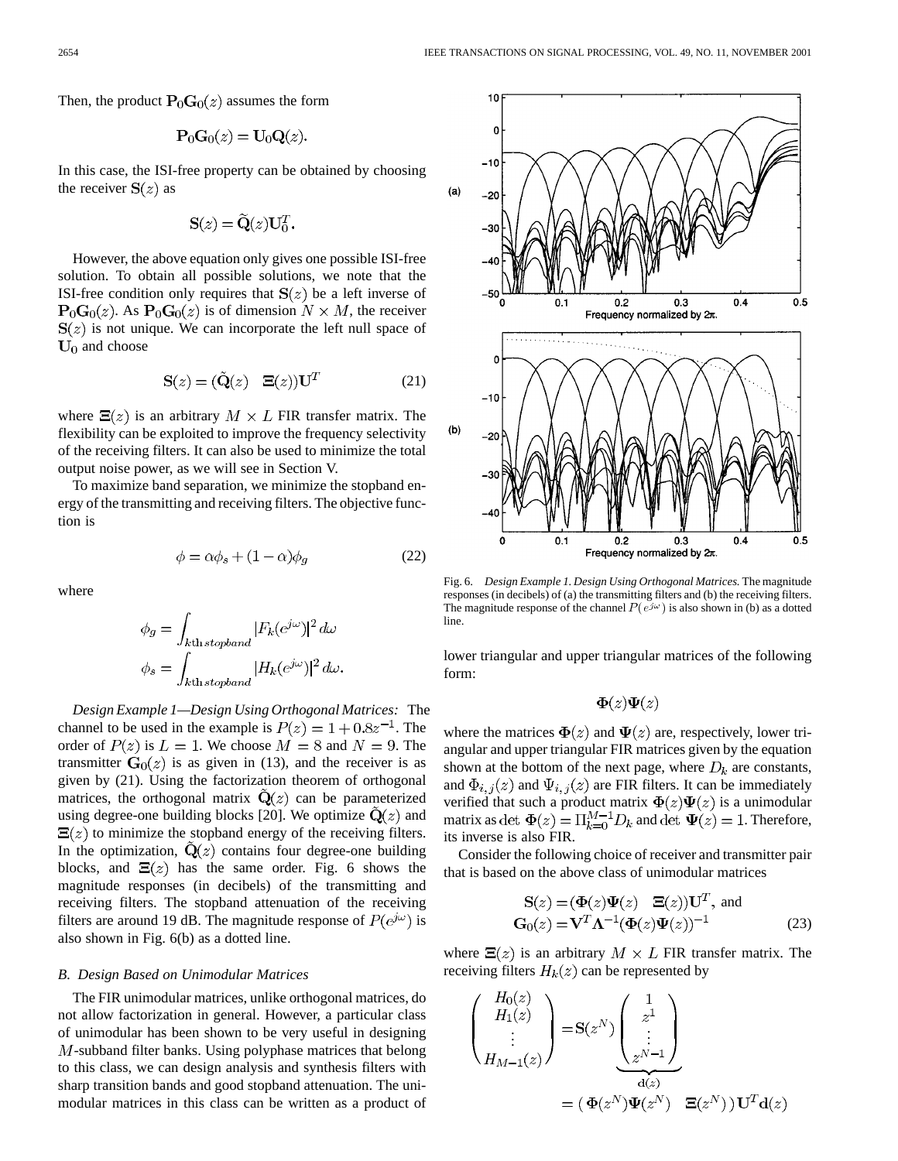Then, the product  $P_0G_0(z)$  assumes the form

$$
\mathbf{P}_0\mathbf{G}_0(z)=\mathbf{U}_0\mathbf{Q}(z).
$$

In this case, the ISI-free property can be obtained by choosing the receiver  $S(z)$  as

$$
\mathbf{S}(z) = \widetilde{\mathbf{Q}}(z) \mathbf{U}_0^T.
$$

However, the above equation only gives one possible ISI-free solution. To obtain all possible solutions, we note that the ISI-free condition only requires that  $S(z)$  be a left inverse of  ${\bf P}_0{\bf G}_0(z)$ . As  ${\bf P}_0{\bf G}_0(z)$  is of dimension  $N\times M$ , the receiver  $S(z)$  is not unique. We can incorporate the left null space of  $U_0$  and choose

$$
\mathbf{S}(z) = (\tilde{\mathbf{Q}}(z) \quad \mathbf{\Xi}(z)) \mathbf{U}^T \tag{21}
$$

where  $\Xi(z)$  is an arbitrary  $M \times L$  FIR transfer matrix. The flexibility can be exploited to improve the frequency selectivity of the receiving filters. It can also be used to minimize the total output noise power, as we will see in Section V.

To maximize band separation, we minimize the stopband energy of the transmitting and receiving filters. The objective function is

$$
\phi = \alpha \phi_s + (1 - \alpha)\phi_q \tag{22}
$$

where

$$
\phi_g = \int_{k \text{th stopband}} |F_k(e^{j\omega})|^2 d\omega
$$

$$
\phi_s = \int_{k \text{th stopband}} |H_k(e^{j\omega})|^2 d\omega.
$$

*Design Example 1—Design Using Orthogonal Matrices:* The channel to be used in the example is  $P(z) = 1 + 0.8z^{-1}$ . The order of  $P(z)$  is  $L = 1$ . We choose  $M = 8$  and  $N = 9$ . The transmitter  $\mathbf{G}_0(z)$  is as given in (13), and the receiver is as given by (21). Using the factorization theorem of orthogonal matrices, the orthogonal matrix  $\tilde{Q}(z)$  can be parameterized using degree-one building blocks [20]. We optimize  $Q(z)$  and  $\Xi(z)$  to minimize the stopband energy of the receiving filters. In the optimization,  $Q(z)$  contains four degree-one building blocks, and  $\Xi(z)$  has the same order. Fig. 6 shows the magnitude responses (in decibels) of the transmitting and receiving filters. The stopband attenuation of the receiving filters are around 19 dB. The magnitude response of  $P(e^{j\omega})$  is also shown in Fig. 6(b) as a dotted line.

## *B. Design Based on Unimodular Matrices*

The FIR unimodular matrices, unlike orthogonal matrices, do not allow factorization in general. However, a particular class of unimodular has been shown to be very useful in designing M-subband filter banks. Using polyphase matrices that belong to this class, we can design analysis and synthesis filters with sharp transition bands and good stopband attenuation. The unimodular matrices in this class can be written as a product of



Fig. 6. *Design Example 1. Design Using Orthogonal Matrices.* The magnitude responses (in decibels) of (a) the transmitting filters and (b) the receiving filters. The magnitude response of the channel  $P(e^{j\omega})$  is also shown in (b) as a dotted line.

lower triangular and upper triangular matrices of the following form:

 $\Phi(z)\Psi(z)$ 

where the matrices  $\Phi(z)$  and  $\Psi(z)$  are, respectively, lower triangular and upper triangular FIR matrices given by the equation shown at the bottom of the next page, where  $D_k$  are constants, and  $\Phi_{i,j}(z)$  and  $\Psi_{i,j}(z)$  are FIR filters. It can be immediately verified that such a product matrix  $\Phi(z)\Psi(z)$  is a unimodular matrix as det  $\Phi(z) = \prod_{k=0}^{M-1} D_k$  and det  $\Psi(z) = 1$ . Therefore, its inverse is also FIR.

Consider the following choice of receiver and transmitter pair that is based on the above class of unimodular matrices

$$
\mathbf{S}(z) = (\Phi(z)\Psi(z) \quad \Xi(z))\mathbf{U}^T, \text{ and}
$$
  
\n
$$
\mathbf{G}_0(z) = \mathbf{V}^T \mathbf{\Lambda}^{-1} (\Phi(z)\Psi(z))^{-1}
$$
 (23)

where  $\Xi(z)$  is an arbitrary  $M \times L$  FIR transfer matrix. The receiving filters  $H_k(z)$  can be represented by

$$
\begin{pmatrix}\nH_0(z) \\
H_1(z) \\
\vdots \\
H_{M-1}(z)\n\end{pmatrix} = \mathbf{S}(z^N) \underbrace{\begin{pmatrix} 1 \\ z^1 \\ \vdots \\ z^{N-1} \end{pmatrix}}_{\mathbf{d}(z)}
$$
\n
$$
= (\Phi(z^N)\Psi(z^N) \quad \Xi(z^N)) \mathbf{U}^T \mathbf{d}(z)
$$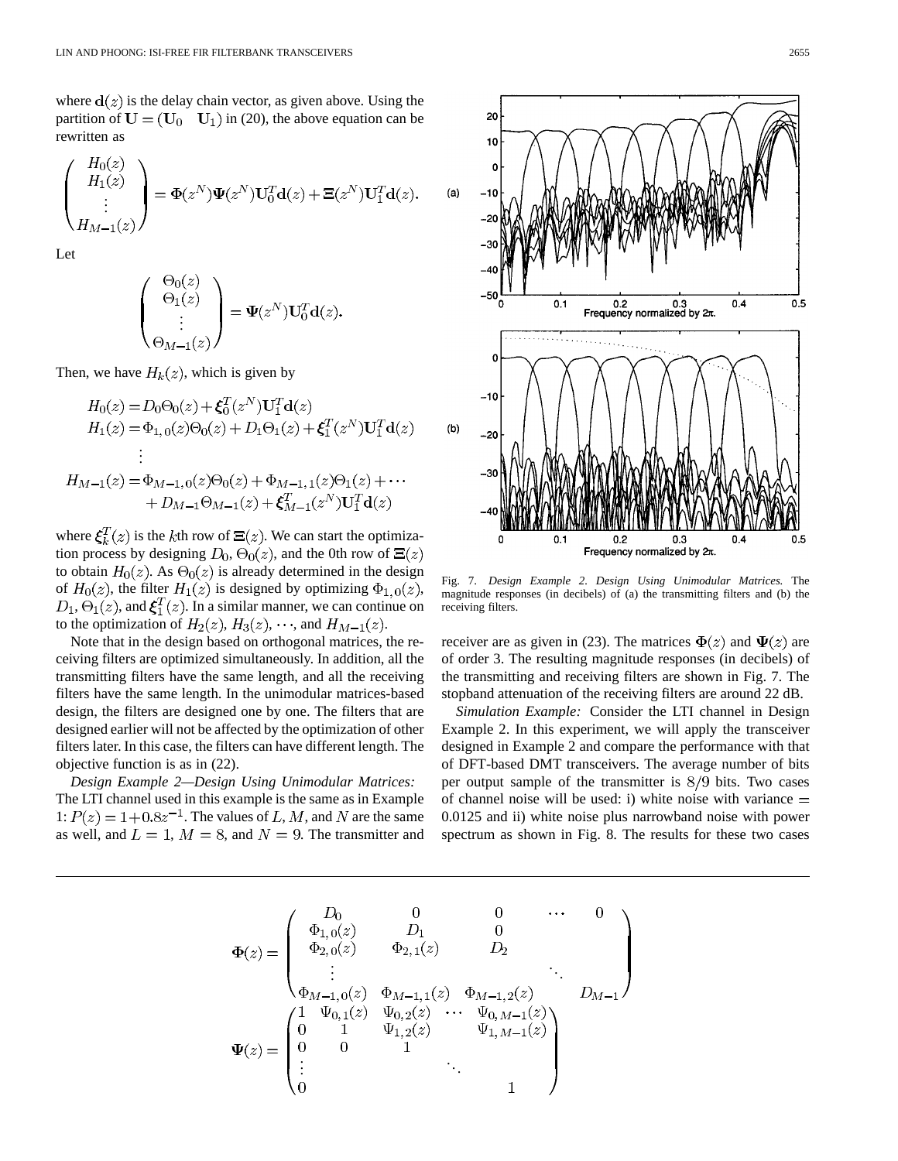where  $\mathbf{d}(z)$  is the delay chain vector, as given above. Using the partition of  $U = (U_0 \ U_1)$  in (20), the above equation can be rewritten as

$$
\begin{pmatrix} H_0(z) \\ H_1(z) \\ \vdots \\ H_{M-1}(z) \end{pmatrix} = \Phi(z^N) \Psi(z^N) \mathbf{U}_0^T \mathbf{d}(z) + \Xi(z^N) \mathbf{U}_1^T \mathbf{d}(z).
$$

Let

$$
\begin{pmatrix}\n\Theta_0(z) \\
\Theta_1(z) \\
\vdots \\
\Theta_{M-1}(z)\n\end{pmatrix} = \Psi(z^N) \mathbf{U}_0^T \mathbf{d}(z).
$$

Then, we have  $H_k(z)$ , which is given by

$$
H_0(z) = D_0 \Theta_0(z) + \xi_0^T(z^N) \mathbf{U}_1^T \mathbf{d}(z)
$$
  
\n
$$
H_1(z) = \Phi_{1,0}(z) \Theta_0(z) + D_1 \Theta_1(z) + \xi_1^T(z^N) \mathbf{U}_1^T \mathbf{d}(z)
$$
  
\n:  
\n:  
\n:  
\n
$$
H_{M-1}(z) = \Phi_{M-1,0}(z) \Theta_0(z) + \Phi_{M-1,1}(z) \Theta_1(z) + \cdots
$$
  
\n
$$
+ D_{M-1} \Theta_{M-1}(z) + \xi_{M-1}^T(z^N) \mathbf{U}_1^T \mathbf{d}(z)
$$

where  $\xi_k^T(z)$  is the *k*th row of  $\Xi(z)$ . We can start the optimization process by designing  $D_0$ ,  $\Theta_0(z)$ , and the 0th row of  $\Xi(z)$ to obtain  $H_0(z)$ . As  $\Theta_0(z)$  is already determined in the design of  $H_0(z)$ , the filter  $H_1(z)$  is designed by optimizing  $\Phi_{1,0}(z)$ ,  $D_1, \Theta_1(z)$ , and  $\xi_1^T(z)$ . In a similar manner, we can continue on to the optimization of  $H_2(z)$ ,  $H_3(z)$ ,  $\cdots$ , and  $H_{M-1}(z)$ .

Note that in the design based on orthogonal matrices, the receiving filters are optimized simultaneously. In addition, all the transmitting filters have the same length, and all the receiving filters have the same length. In the unimodular matrices-based design, the filters are designed one by one. The filters that are designed earlier will not be affected by the optimization of other filters later. In this case, the filters can have different length. The objective function is as in (22).

*Design Example 2—Design Using Unimodular Matrices:* The LTI channel used in this example is the same as in Example 1:  $P(z) = 1 + 0.8z^{-1}$ . The values of L, M, and N are the same as well, and  $L = 1$ ,  $M = 8$ , and  $N = 9$ . The transmitter and



Fig. 7. *Design Example 2. Design Using Unimodular Matrices.* The magnitude responses (in decibels) of (a) the transmitting filters and (b) the receiving filters.

receiver are as given in (23). The matrices  $\Phi(z)$  and  $\Psi(z)$  are of order 3. The resulting magnitude responses (in decibels) of the transmitting and receiving filters are shown in Fig. 7. The stopband attenuation of the receiving filters are around 22 dB.

*Simulation Example:* Consider the LTI channel in Design Example 2. In this experiment, we will apply the transceiver designed in Example 2 and compare the performance with that of DFT-based DMT transceivers. The average number of bits per output sample of the transmitter is  $8/9$  bits. Two cases of channel noise will be used: i) white noise with variance  $=$ 0.0125 and ii) white noise plus narrowband noise with power spectrum as shown in Fig. 8. The results for these two cases

$$
\Phi(z)=\begin{pmatrix}D_0&0&0&\cdots&0\\ \Phi_{1,0}(z)&D_1&0&&\\ \Phi_{2,0}(z)&\Phi_{2,1}(z)&D_2&&\\ \vdots&&&\ddots&\\ \Phi_{M-1,0}(z)&\Phi_{M-1,1}(z)&\Phi_{M-1,2}(z)&D_{M-1}\\ \end{pmatrix}
$$
  

$$
\Psi(z)=\begin{pmatrix}1&\Psi_{0,1}(z)&\Psi_{0,2}(z)&\cdots&\Psi_{0,M-1}(z)\\ 0&1&\Psi_{1,2}(z)&\Psi_{1,M-1}(z)\\ \vdots&&&\ddots&\\ 0&&&&1\end{pmatrix}
$$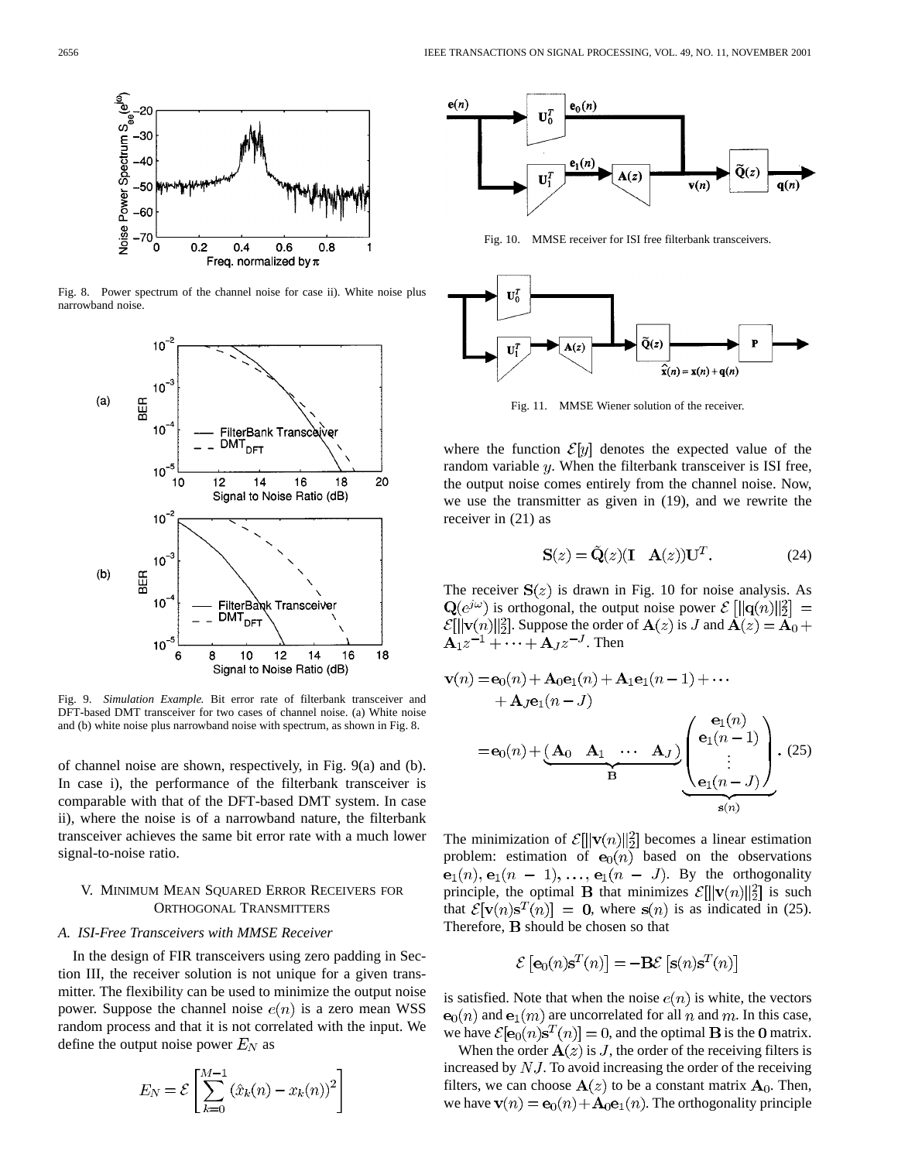

Fig. 8. Power spectrum of the channel noise for case ii). White noise plus narrowband noise.



Fig. 9. *Simulation Example.* Bit error rate of filterbank transceiver and DFT-based DMT transceiver for two cases of channel noise. (a) White noise and (b) white noise plus narrowband noise with spectrum, as shown in Fig. 8.

of channel noise are shown, respectively, in Fig. 9(a) and (b). In case i), the performance of the filterbank transceiver is comparable with that of the DFT-based DMT system. In case ii), where the noise is of a narrowband nature, the filterbank transceiver achieves the same bit error rate with a much lower signal-to-noise ratio.

# V. MINIMUM MEAN SOUARED ERROR RECEIVERS FOR ORTHOGONAL TRANSMITTERS

## *A. ISI-Free Transceivers with MMSE Receiver*

In the design of FIR transceivers using zero padding in Section III, the receiver solution is not unique for a given transmitter. The flexibility can be used to minimize the output noise power. Suppose the channel noise  $e(n)$  is a zero mean WSS random process and that it is not correlated with the input. We define the output noise power  $E<sub>N</sub>$  as

$$
E_N = \mathcal{E}\left[\sum_{k=0}^{M-1} (\hat{x}_k(n) - x_k(n))^2\right]
$$



Fig. 10. MMSE receiver for ISI free filterbank transceivers.



Fig. 11. MMSE Wiener solution of the receiver.

where the function  $\mathcal{E}[y]$  denotes the expected value of the random variable  $y$ . When the filterbank transceiver is ISI free, the output noise comes entirely from the channel noise. Now, we use the transmitter as given in (19), and we rewrite the receiver in (21) as

$$
\mathbf{S}(z) = \tilde{\mathbf{Q}}(z)(\mathbf{I} \quad \mathbf{A}(z))\mathbf{U}^T. \tag{24}
$$

The receiver  $S(z)$  is drawn in Fig. 10 for noise analysis. As  $\mathbf{Q}(e^{j\omega})$  is orthogonal, the output noise power  $\mathcal{E}[\Vert \mathbf{q}(n)\Vert^2] =$  $\mathcal{E}[\Vert \mathbf{v}(n) \Vert_2^2]$ . Suppose the order of  $\mathbf{A}(z)$  is J and  $\mathbf{A}(z) = \mathbf{A}_0 + \mathbf{A}_0$  $\mathbf{A}_1 z^{-1} + \cdots + \mathbf{A}_I z^{-J}$ . Then

$$
(n) = \mathbf{e}_0(n) + \mathbf{A}_0 \mathbf{e}_1(n) + \mathbf{A}_1 \mathbf{e}_1(n-1) + \cdots
$$

$$
+ \mathbf{A}_J \mathbf{e}_1(n-J)
$$

$$
= \mathbf{e}_0(n) + (\underbrace{\mathbf{A}_0 \quad \mathbf{A}_1 \quad \cdots \quad \mathbf{A}_J}_{\mathbf{B}}) \underbrace{\begin{pmatrix} \mathbf{e}_1(n) \\ \mathbf{e}_1(n-1) \\ \vdots \\ \mathbf{e}_1(n-J) \end{pmatrix}}_{\mathbf{s}(n)}.
$$
(25)

The minimization of  $\mathcal{E}[\Vert \mathbf{v}(n) \Vert_2^2]$  becomes a linear estimation problem: estimation of  $e_0(n)$  based on the observations  ${\bf e}_1(n), {\bf e}_1(n-1), \ldots, {\bf e}_1(n-J)$ . By the orthogonality principle, the optimal **B** that minimizes  $\mathcal{E}[\|\mathbf{v}(n)\|_2^2]$  is such that  $\mathcal{E}[\mathbf{v}(n)\mathbf{s}^T(n)] = \mathbf{0}$ , where  $\mathbf{s}(n)$  is as indicated in (25). Therefore, B should be chosen so that

$$
\mathcal{E}\left[\mathbf{e}_0(n)\mathbf{s}^T(n)\right] = -\mathbf{B}\mathcal{E}\left[\mathbf{s}(n)\mathbf{s}^T(n)\right]
$$

is satisfied. Note that when the noise  $e(n)$  is white, the vectors  $e_0(n)$  and  $e_1(m)$  are uncorrelated for all n and m. In this case, we have  $\mathcal{E}[\mathbf{e}_0(n)\mathbf{s}^T(n)] = 0$ , and the optimal **B** is the **0** matrix.

When the order  $A(z)$  is J, the order of the receiving filters is increased by  $NJ$ . To avoid increasing the order of the receiving filters, we can choose  $A(z)$  to be a constant matrix  $A_0$ . Then, we have  $\mathbf{v}(n) = \mathbf{e}_0(n) + \mathbf{A}_0 \mathbf{e}_1(n)$ . The orthogonality principle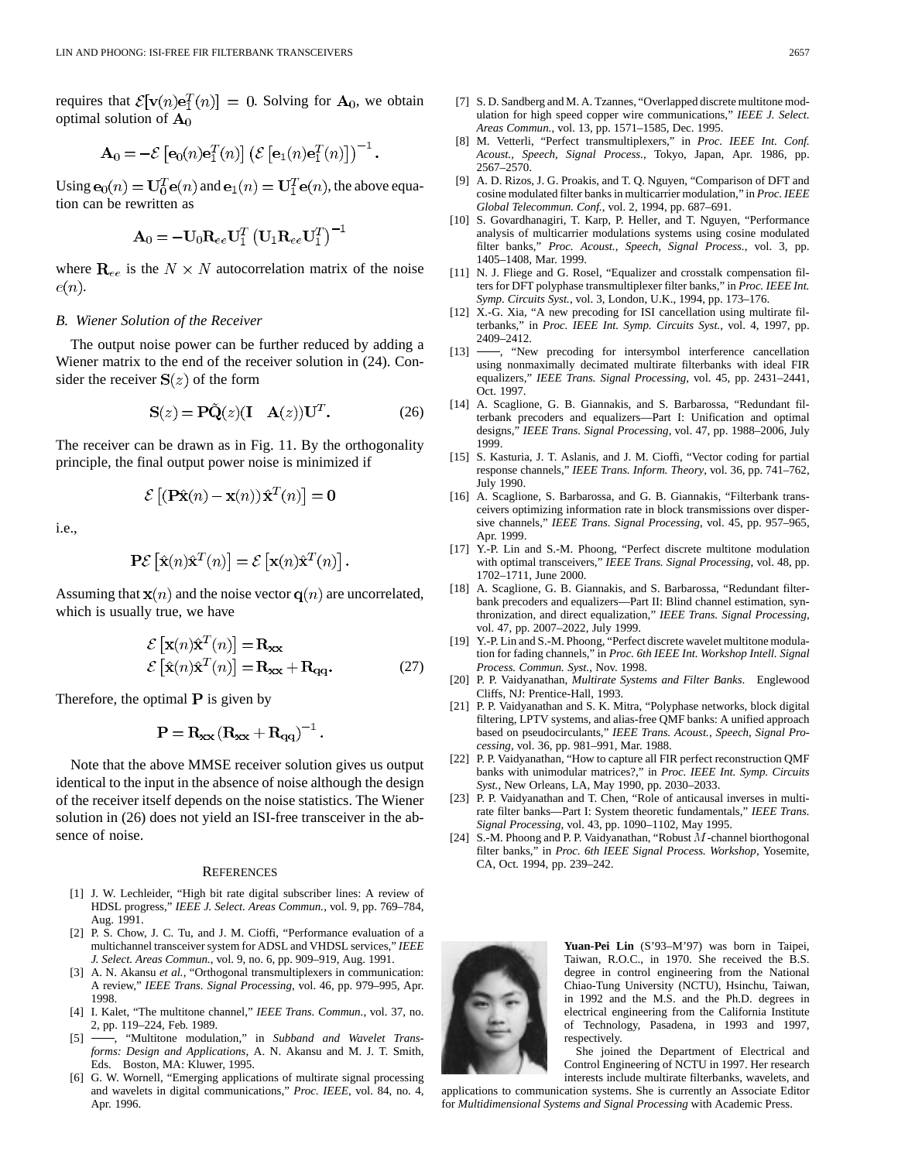requires that  $\mathcal{E}[\mathbf{v}(n)\mathbf{e}_1^T(n)] = 0$ . Solving for  $\mathbf{A}_0$ , we obtain optimal solution of  $A_0$ 

$$
\mathbf{A}_0 = -\mathcal{E}\left[\mathbf{e}_0(n)\mathbf{e}_1^T(n)\right] \left(\mathcal{E}\left[\mathbf{e}_1(n)\mathbf{e}_1^T(n)\right]\right)^{-1}
$$

Using  $\mathbf{e}_0(n) = \mathbf{U}_0^T \mathbf{e}(n)$  and  $\mathbf{e}_1(n) = \mathbf{U}_1^T \mathbf{e}(n)$ , the above equation can be rewritten as

$$
\mathbf{A}_0 = -\mathbf{U}_0\mathbf{R}_{ee}\mathbf{U}_1^T\left(\mathbf{U}_1\mathbf{R}_{ee}\mathbf{U}_1^T\right)^{-1}
$$

where  $\mathbf{R}_{ee}$  is the  $N \times N$  autocorrelation matrix of the noise  $e(n)$ .

## *B. Wiener Solution of the Receiver*

The output noise power can be further reduced by adding a Wiener matrix to the end of the receiver solution in (24). Consider the receiver  $S(z)$  of the form

$$
\mathbf{S}(z) = \mathbf{P}\tilde{\mathbf{Q}}(z)(\mathbf{I} \quad \mathbf{A}(z))\mathbf{U}^T. \tag{26}
$$

The receiver can be drawn as in Fig. 11. By the orthogonality principle, the final output power noise is minimized if

$$
\mathcal{E}\left[\left(\mathbf{P}\hat{\mathbf{x}}(n) - \mathbf{x}(n)\right)\hat{\mathbf{x}}^T(n)\right] = \mathbf{0}
$$

i.e.,

$$
\mathbf{P} \mathcal{E} \left[ \hat{\mathbf{x}}(n) \hat{\mathbf{x}}^T(n) \right] = \mathcal{E} \left[ \mathbf{x}(n) \hat{\mathbf{x}}^T(n) \right].
$$

Assuming that  $\mathbf{x}(n)$  and the noise vector  $\mathbf{q}(n)$  are uncorrelated, which is usually true, we have

$$
\mathcal{E}\left[\mathbf{x}(n)\hat{\mathbf{x}}^{T}(n)\right] = \mathbf{R}_{\mathbf{x}\mathbf{x}} \n\mathcal{E}\left[\hat{\mathbf{x}}(n)\hat{\mathbf{x}}^{T}(n)\right] = \mathbf{R}_{\mathbf{x}\mathbf{x}} + \mathbf{R}_{\mathbf{qq}}.
$$
\n(27)

Therefore, the optimal  $P$  is given by

$$
\mathbf{P} = \mathbf{R}_{\mathbf{xx}} (\mathbf{R}_{\mathbf{xx}} + \mathbf{R}_{\mathbf{qq}})^{-1}
$$

Note that the above MMSE receiver solution gives us output identical to the input in the absence of noise although the design of the receiver itself depends on the noise statistics. The Wiener solution in (26) does not yield an ISI-free transceiver in the absence of noise.

#### **REFERENCES**

- [1] J. W. Lechleider, "High bit rate digital subscriber lines: A review of HDSL progress," *IEEE J. Select. Areas Commun.*, vol. 9, pp. 769–784, Aug. 1991.
- [2] P. S. Chow, J. C. Tu, and J. M. Cioffi, "Performance evaluation of a multichannel transceiver system for ADSL and VHDSL services," *IEEE J. Select. Areas Commun.*, vol. 9, no. 6, pp. 909–919, Aug. 1991.
- [3] A. N. Akansu et al., "Orthogonal transmultiplexers in communication: A review," *IEEE Trans. Signal Processing*, vol. 46, pp. 979–995, Apr. 1998.
- [4] I. Kalet, "The multitone channel," *IEEE Trans. Commun.*, vol. 37, no. 2, pp. 119–224, Feb. 1989.
- [5] , "Multitone modulation," in *Subband and Wavelet Transforms: Design and Applications*, A. N. Akansu and M. J. T. Smith, Eds. Boston, MA: Kluwer, 1995.
- [6] G. W. Wornell, "Emerging applications of multirate signal processing and wavelets in digital communications," *Proc. IEEE*, vol. 84, no. 4, Apr. 1996.
- [7] S. D. Sandberg and M. A. Tzannes, "Overlapped discrete multitone modulation for high speed copper wire communications," *IEEE J. Select. Areas Commun.*, vol. 13, pp. 1571–1585, Dec. 1995.
- [8] M. Vetterli, "Perfect transmultiplexers," in *Proc. IEEE Int. Conf. Acoust., Speech, Signal Process.*, Tokyo, Japan, Apr. 1986, pp. 2567–2570.
- [9] A. D. Rizos, J. G. Proakis, and T. Q. Nguyen, "Comparison of DFT and cosine modulated filter banks in multicarrier modulation," in *Proc. IEEE Global Telecommun. Conf.*, vol. 2, 1994, pp. 687–691.
- [10] S. Govardhanagiri, T. Karp, P. Heller, and T. Nguyen, "Performance analysis of multicarrier modulations systems using cosine modulated filter banks," *Proc. Acoust., Speech, Signal Process.*, vol. 3, pp. 1405–1408, Mar. 1999.
- [11] N. J. Fliege and G. Rosel, "Equalizer and crosstalk compensation filters for DFT polyphase transmultiplexer filter banks," in *Proc. IEEE Int. Symp. Circuits Syst.*, vol. 3, London, U.K., 1994, pp. 173–176.
- [12] X.-G. Xia, "A new precoding for ISI cancellation using multirate filterbanks," in *Proc. IEEE Int. Symp. Circuits Syst.*, vol. 4, 1997, pp. 2409–2412.
- [13] -, "New precoding for intersymbol interference cancellation using nonmaximally decimated multirate filterbanks with ideal FIR equalizers," *IEEE Trans. Signal Processing*, vol. 45, pp. 2431–2441, Oct. 1997.
- [14] A. Scaglione, G. B. Giannakis, and S. Barbarossa, "Redundant filterbank precoders and equalizers—Part I: Unification and optimal designs," *IEEE Trans. Signal Processing*, vol. 47, pp. 1988–2006, July 1999.
- [15] S. Kasturia, J. T. Aslanis, and J. M. Cioffi, "Vector coding for partial response channels," *IEEE Trans. Inform. Theory*, vol. 36, pp. 741–762, July 1990.
- [16] A. Scaglione, S. Barbarossa, and G. B. Giannakis, "Filterbank transceivers optimizing information rate in block transmissions over dispersive channels," *IEEE Trans. Signal Processing*, vol. 45, pp. 957–965, Apr. 1999.
- [17] Y.-P. Lin and S.-M. Phoong, "Perfect discrete multitone modulation with optimal transceivers," *IEEE Trans. Signal Processing*, vol. 48, pp. 1702–1711, June 2000.
- [18] A. Scaglione, G. B. Giannakis, and S. Barbarossa, "Redundant filterbank precoders and equalizers—Part II: Blind channel estimation, synthronization, and direct equalization," *IEEE Trans. Signal Processing*, vol. 47, pp. 2007–2022, July 1999.
- [19] Y.-P. Lin and S.-M. Phoong, "Perfect discrete wavelet multitone modulation for fading channels," in *Proc. 6th IEEE Int. Workshop Intell. Signal Process. Commun. Syst.*, Nov. 1998.
- [20] P. P. Vaidyanathan, *Multirate Systems and Filter Banks*. Englewood Cliffs, NJ: Prentice-Hall, 1993.
- [21] P. P. Vaidyanathan and S. K. Mitra, "Polyphase networks, block digital filtering, LPTV systems, and alias-free QMF banks: A unified approach based on pseudocirculants," *IEEE Trans. Acoust., Speech, Signal Processing*, vol. 36, pp. 981–991, Mar. 1988.
- [22] P. P. Vaidyanathan, "How to capture all FIR perfect reconstruction QMF banks with unimodular matrices?," in *Proc. IEEE Int. Symp. Circuits Syst.*, New Orleans, LA, May 1990, pp. 2030–2033.
- [23] P. P. Vaidyanathan and T. Chen, "Role of anticausal inverses in multirate filter banks—Part I: System theoretic fundamentals," *IEEE Trans. Signal Processing*, vol. 43, pp. 1090–1102, May 1995.
- [24] S.-M. Phoong and P. P. Vaidyanathan, "Robust M-channel biorthogonal filter banks," in *Proc. 6th IEEE Signal Process. Workshop*, Yosemite, CA, Oct. 1994, pp. 239–242.



**Yuan-Pei Lin** (S'93–M'97) was born in Taipei, Taiwan, R.O.C., in 1970. She received the B.S. degree in control engineering from the National Chiao-Tung University (NCTU), Hsinchu, Taiwan, in 1992 and the M.S. and the Ph.D. degrees in electrical engineering from the California Institute of Technology, Pasadena, in 1993 and 1997, respectively.

She joined the Department of Electrical and Control Engineering of NCTU in 1997. Her research interests include multirate filterbanks, wavelets, and

applications to communication systems. She is currently an Associate Editor for *Multidimensional Systems and Signal Processing* with Academic Press.